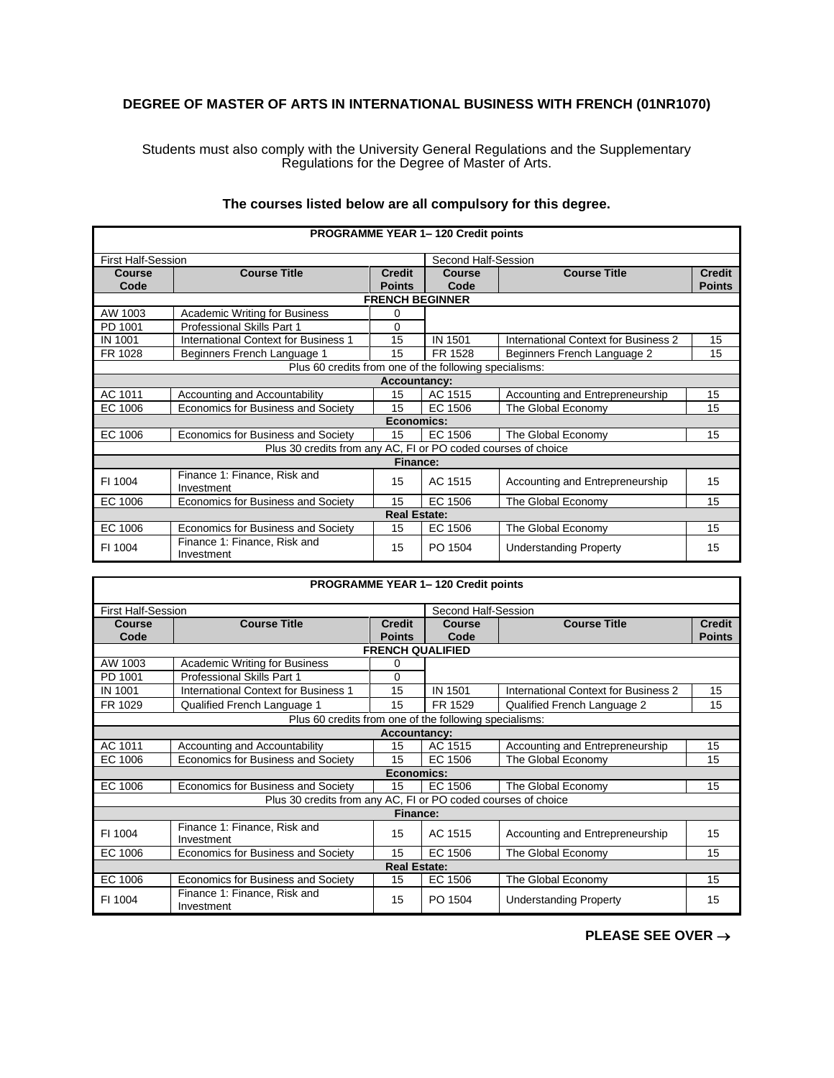## **DEGREE OF MASTER OF ARTS IN INTERNATIONAL BUSINESS WITH FRENCH (01NR1070)**

Students must also comply with the University General Regulations and the Supplementary Regulations for the Degree of Master of Arts.

| <b>PROGRAMME YEAR 1-120 Credit points</b>                     |                                                        |                                |                        |                                      |                                |  |  |
|---------------------------------------------------------------|--------------------------------------------------------|--------------------------------|------------------------|--------------------------------------|--------------------------------|--|--|
| <b>First Half-Session</b>                                     |                                                        |                                | Second Half-Session    |                                      |                                |  |  |
| Course<br>Code                                                | <b>Course Title</b>                                    | <b>Credit</b><br><b>Points</b> | <b>Course</b><br>Code  | <b>Course Title</b>                  | <b>Credit</b><br><b>Points</b> |  |  |
|                                                               |                                                        |                                | <b>FRENCH BEGINNER</b> |                                      |                                |  |  |
| AW 1003                                                       | Academic Writing for Business                          | 0                              |                        |                                      |                                |  |  |
| PD 1001                                                       | <b>Professional Skills Part 1</b>                      | 0                              |                        |                                      |                                |  |  |
| <b>IN 1001</b>                                                | <b>International Context for Business 1</b>            | 15                             | <b>IN 1501</b>         | International Context for Business 2 | 15                             |  |  |
| FR 1028                                                       | Beginners French Language 1                            | 15                             | FR 1528                | Beginners French Language 2          | 15                             |  |  |
|                                                               | Plus 60 credits from one of the following specialisms: |                                |                        |                                      |                                |  |  |
|                                                               |                                                        | <b>Accountancy:</b>            |                        |                                      |                                |  |  |
| AC 1011                                                       | Accounting and Accountability                          | 15                             | AC 1515                | Accounting and Entrepreneurship      | 15                             |  |  |
| EC 1006                                                       | Economics for Business and Society                     | 15                             | EC 1506                | The Global Economy                   | 15                             |  |  |
|                                                               | Economics:                                             |                                |                        |                                      |                                |  |  |
| EC 1006                                                       | Economics for Business and Society                     | 15                             | EC 1506                | The Global Economy                   | 15                             |  |  |
| Plus 30 credits from any AC, FI or PO coded courses of choice |                                                        |                                |                        |                                      |                                |  |  |
| Finance:                                                      |                                                        |                                |                        |                                      |                                |  |  |
| FI 1004                                                       | Finance 1: Finance, Risk and<br>Investment             | 15                             | AC 1515                | Accounting and Entrepreneurship      | 15                             |  |  |
| EC 1006                                                       | Economics for Business and Society                     | 15                             | EC 1506                | The Global Economy                   | 15                             |  |  |
| <b>Real Estate:</b>                                           |                                                        |                                |                        |                                      |                                |  |  |
| EC 1006                                                       | Economics for Business and Society                     | 15                             | EC 1506                | The Global Economy                   | 15                             |  |  |
| FI 1004                                                       | Finance 1: Finance, Risk and<br>Investment             | 15                             | PO 1504                | <b>Understanding Property</b>        | 15                             |  |  |

## **The courses listed below are all compulsory for this degree.**

| <b>PROGRAMME YEAR 1-120 Credit points</b>                     |                                                        |                                |                         |                                      |                                |  |  |
|---------------------------------------------------------------|--------------------------------------------------------|--------------------------------|-------------------------|--------------------------------------|--------------------------------|--|--|
| <b>First Half-Session</b>                                     |                                                        |                                | Second Half-Session     |                                      |                                |  |  |
| Course<br>Code                                                | <b>Course Title</b>                                    | <b>Credit</b><br><b>Points</b> | Course<br>Code          | <b>Course Title</b>                  | <b>Credit</b><br><b>Points</b> |  |  |
|                                                               |                                                        |                                | <b>FRENCH QUALIFIED</b> |                                      |                                |  |  |
| AW 1003                                                       | <b>Academic Writing for Business</b>                   | 0                              |                         |                                      |                                |  |  |
| PD 1001                                                       | <b>Professional Skills Part 1</b>                      | 0                              |                         |                                      |                                |  |  |
| <b>IN 1001</b>                                                | <b>International Context for Business 1</b>            | 15                             | <b>IN 1501</b>          | International Context for Business 2 | 15                             |  |  |
| FR 1029                                                       | Qualified French Language 1                            | 15                             | FR 1529                 | Qualified French Language 2          | 15                             |  |  |
|                                                               | Plus 60 credits from one of the following specialisms: |                                |                         |                                      |                                |  |  |
|                                                               |                                                        | <b>Accountancy:</b>            |                         |                                      |                                |  |  |
| AC 1011                                                       | Accounting and Accountability                          | 15                             | AC 1515                 | Accounting and Entrepreneurship      | 15                             |  |  |
| EC 1006                                                       | Economics for Business and Society                     | 15                             | EC 1506                 | The Global Economy                   | 15                             |  |  |
|                                                               | Economics:                                             |                                |                         |                                      |                                |  |  |
| EC 1006                                                       | Economics for Business and Society                     | 15                             | EC 1506                 | The Global Economy                   | 15                             |  |  |
| Plus 30 credits from any AC, FI or PO coded courses of choice |                                                        |                                |                         |                                      |                                |  |  |
| <b>Finance:</b>                                               |                                                        |                                |                         |                                      |                                |  |  |
| FI 1004                                                       | Finance 1: Finance, Risk and<br>Investment             | 15                             | AC 1515                 | Accounting and Entrepreneurship      | 15                             |  |  |
| EC 1006                                                       | Economics for Business and Society                     | 15                             | EC 1506                 | The Global Economy                   | 15                             |  |  |
| <b>Real Estate:</b>                                           |                                                        |                                |                         |                                      |                                |  |  |
| EC 1006                                                       | Economics for Business and Society                     | 15                             | EC 1506                 | The Global Economy                   | 15                             |  |  |
| FI 1004                                                       | Finance 1: Finance, Risk and<br>Investment             | 15                             | PO 1504                 | <b>Understanding Property</b>        | 15                             |  |  |

**PLEASE SEE OVER** →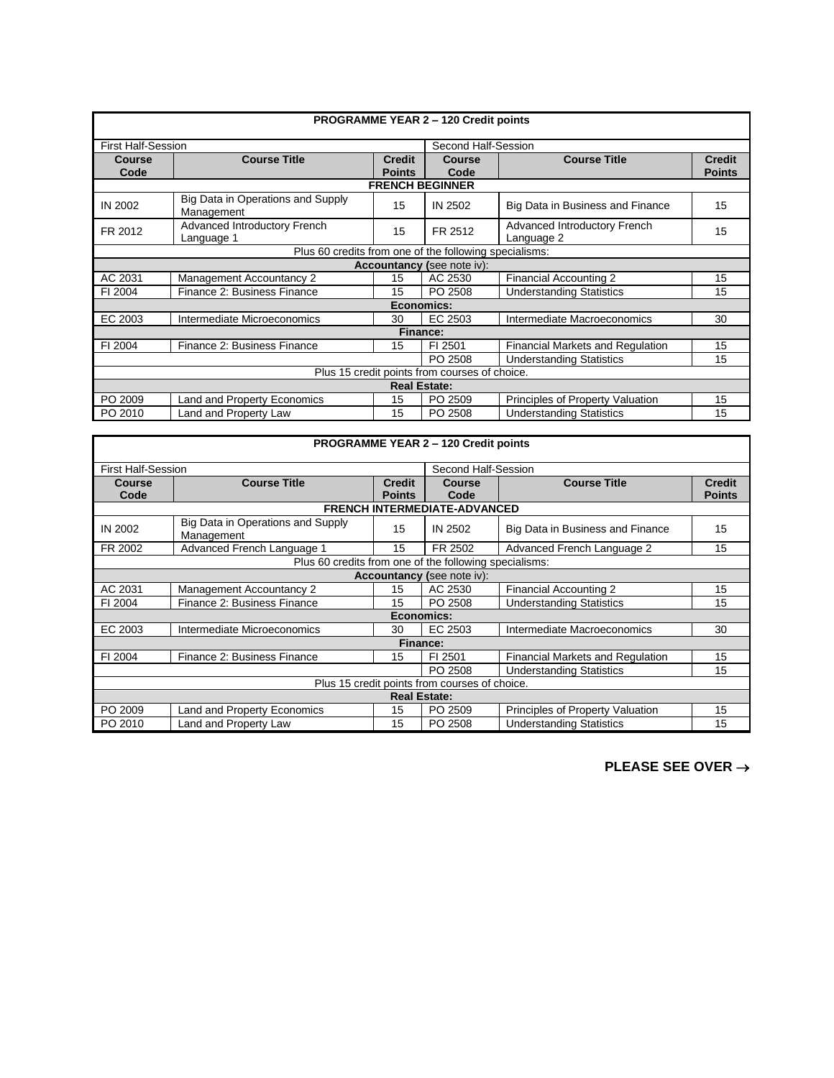| <b>PROGRAMME YEAR 2 - 120 Credit points</b>            |                                                 |                                |                            |                                            |                                |  |  |
|--------------------------------------------------------|-------------------------------------------------|--------------------------------|----------------------------|--------------------------------------------|--------------------------------|--|--|
|                                                        |                                                 |                                |                            |                                            |                                |  |  |
| <b>First Half-Session</b>                              |                                                 |                                | Second Half-Session        |                                            |                                |  |  |
| <b>Course</b><br>Code                                  | <b>Course Title</b>                             | <b>Credit</b><br><b>Points</b> | Course<br>Code             | <b>Course Title</b>                        | <b>Credit</b><br><b>Points</b> |  |  |
|                                                        |                                                 |                                | <b>FRENCH BEGINNER</b>     |                                            |                                |  |  |
| IN 2002                                                | Big Data in Operations and Supply<br>Management | 15                             | IN 2502                    | Big Data in Business and Finance           | 15                             |  |  |
| FR 2012                                                | Advanced Introductory French<br>Language 1      | 15                             | FR 2512                    | Advanced Introductory French<br>Language 2 | 15                             |  |  |
| Plus 60 credits from one of the following specialisms: |                                                 |                                |                            |                                            |                                |  |  |
|                                                        |                                                 |                                | Accountancy (see note iv): |                                            |                                |  |  |
| AC 2031                                                | <b>Management Accountancy 2</b>                 | 15                             | AC 2530                    | Financial Accounting 2                     | 15                             |  |  |
| FI 2004                                                | Finance 2: Business Finance                     | 15                             | PO 2508                    | <b>Understanding Statistics</b>            | 15                             |  |  |
| Economics:                                             |                                                 |                                |                            |                                            |                                |  |  |
| EC 2003                                                | Intermediate Microeconomics                     | 30                             | EC 2503                    | Intermediate Macroeconomics                | 30                             |  |  |
| <b>Finance:</b>                                        |                                                 |                                |                            |                                            |                                |  |  |
| FI 2004                                                | Finance 2: Business Finance                     | 15                             | FI 2501                    | Financial Markets and Regulation           | 15                             |  |  |
|                                                        |                                                 |                                | PO 2508                    | <b>Understanding Statistics</b>            | 15                             |  |  |
| Plus 15 credit points from courses of choice.          |                                                 |                                |                            |                                            |                                |  |  |
| <b>Real Estate:</b>                                    |                                                 |                                |                            |                                            |                                |  |  |
| PO 2009                                                | <b>Land and Property Economics</b>              | 15                             | PO 2509                    | Principles of Property Valuation           | 15                             |  |  |
| PO 2010                                                | Land and Property Law                           | 15                             | PO 2508                    | <b>Understanding Statistics</b>            | 15                             |  |  |

| <b>PROGRAMME YEAR 2 - 120 Credit points</b>   |                                                        |                                |                                     |                                         |                                |  |  |
|-----------------------------------------------|--------------------------------------------------------|--------------------------------|-------------------------------------|-----------------------------------------|--------------------------------|--|--|
| <b>First Half-Session</b>                     |                                                        |                                | Second Half-Session                 |                                         |                                |  |  |
| <b>Course</b><br>Code                         | <b>Course Title</b>                                    | <b>Credit</b><br><b>Points</b> | Course<br>Code                      | <b>Course Title</b>                     | <b>Credit</b><br><b>Points</b> |  |  |
|                                               |                                                        |                                | <b>FRENCH INTERMEDIATE-ADVANCED</b> |                                         |                                |  |  |
| <b>IN 2002</b>                                | Big Data in Operations and Supply<br>Management        | 15                             | IN 2502                             | Big Data in Business and Finance        | 15                             |  |  |
| FR 2002                                       | Advanced French Language 1                             | 15                             | FR 2502                             | Advanced French Language 2              | 15                             |  |  |
|                                               | Plus 60 credits from one of the following specialisms: |                                |                                     |                                         |                                |  |  |
| Accountancy (see note iv):                    |                                                        |                                |                                     |                                         |                                |  |  |
| AC 2031                                       | Management Accountancy 2                               | 15                             | AC 2530                             | <b>Financial Accounting 2</b>           | 15                             |  |  |
| FI 2004                                       | Finance 2: Business Finance                            | 15                             | PO 2508                             | <b>Understanding Statistics</b>         | 15                             |  |  |
| <b>Economics:</b>                             |                                                        |                                |                                     |                                         |                                |  |  |
| EC 2003                                       | Intermediate Microeconomics                            | 30                             | EC 2503                             | Intermediate Macroeconomics             | 30                             |  |  |
| <b>Finance:</b>                               |                                                        |                                |                                     |                                         |                                |  |  |
| FI 2004                                       | Finance 2: Business Finance                            | 15                             | FI 2501                             | <b>Financial Markets and Regulation</b> | 15                             |  |  |
|                                               |                                                        |                                | PO 2508                             | <b>Understanding Statistics</b>         | 15                             |  |  |
| Plus 15 credit points from courses of choice. |                                                        |                                |                                     |                                         |                                |  |  |
| <b>Real Estate:</b>                           |                                                        |                                |                                     |                                         |                                |  |  |
| PO 2009                                       | <b>Land and Property Economics</b>                     | 15                             | PO 2509                             | Principles of Property Valuation        | 15                             |  |  |
| PO 2010                                       | Land and Property Law                                  | 15                             | PO 2508                             | <b>Understanding Statistics</b>         | 15                             |  |  |

**PLEASE SEE OVER** →